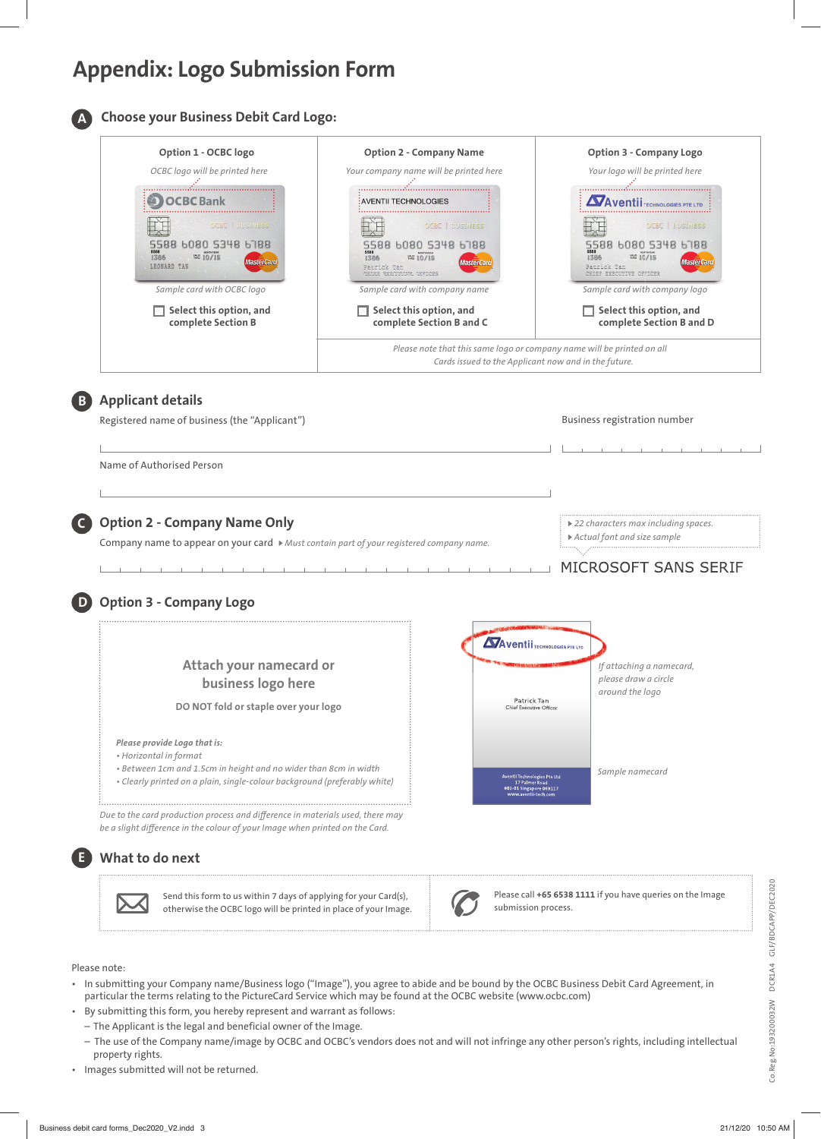# **Appendix: Logo Submission Form**



# **Choose your Business Debit Card Logo:**

| OCBC logo will be printed here                                                        | Your company name will be printed here                                                                                         | Your logo will be printed here                                                                                                 |
|---------------------------------------------------------------------------------------|--------------------------------------------------------------------------------------------------------------------------------|--------------------------------------------------------------------------------------------------------------------------------|
| <b>OCBC</b> Bank                                                                      | : AVENTII TECHNOLOGIES                                                                                                         | <b>Aventii</b> TECHNOLOGIES PTE LTD                                                                                            |
| OCBC   BUSINESS                                                                       | <b>OCBC   BUSINESS</b>                                                                                                         | <b>OCBC</b>   BUSINESS                                                                                                         |
| 6080 5348 6788<br>1386<br>$\frac{W40}{100}$ 10/15<br><b>MasterCard</b><br>LEONARD TAN | 5588 6080 5348 6788<br>1386<br><b>MasterCard</b><br>Patrick Tan<br>CHIER EXECUTIVE OFFICER                                     | 6080 5348 6788<br>$\frac{\text{WUD}}{\text{DAV}}$ 10/15<br>1386<br><b>MasterCard</b><br>Patrick Tan<br>CHIEF EXECUTIVE OFFICER |
| Sample card with OCBC logo                                                            | Sample card with company name                                                                                                  | Sample card with company logo                                                                                                  |
| Select this option, and<br>complete Section B                                         | Select this option, and<br>complete Section B and C                                                                            | Select this option, and<br>complete Section B and D                                                                            |
|                                                                                       | Please note that this same logo or company name will be printed on all<br>Cards issued to the Applicant now and in the future. |                                                                                                                                |
|                                                                                       |                                                                                                                                |                                                                                                                                |

Name of Authorised Person

# **Option 2 - Company Name Only C**

Company name to appear on your card *Must contain part of your registered company name. Actual font and size sample*

*22 characters max including spaces.*

# MICROSOFT SANS SERIF

### **D Option 3 - Company Logo**

|                                                                                                                                               | <b>AVentii</b> TECHNOLOGIES PTE LTD                                                                                  |  |
|-----------------------------------------------------------------------------------------------------------------------------------------------|----------------------------------------------------------------------------------------------------------------------|--|
| Attach your namecard or<br>business logo here                                                                                                 | If attaching a namecard,<br>please draw a circle<br>around the logo                                                  |  |
| DO NOT fold or staple over your logo                                                                                                          | Patrick Tan<br>Chief Executive Officer                                                                               |  |
| Please provide Logo that is:<br>• Horizontal in format                                                                                        |                                                                                                                      |  |
| • Between 1cm and 1.5cm in height and no wider than 8cm in width<br>• Clearly printed on a plain, single-colour background (preferably white) | Sample namecard<br>Aventii Technologies Pte Ltd<br>17 Palmer Road<br>#02-01 Singapore 069117<br>www.aventii-tech.com |  |

**What to do next**

Send this form to us within 7 days of applying for your Card(s), otherwise the OCBC logo will be printed in place of your Image.



Please call **+65 6538 1111** if you have queries on the Image submission process.

#### Please note:

**E**

- In submitting your Company name/Business logo ("Image"), you agree to abide and be bound by the OCBC Business Debit Card Agreement, in particular the terms relating to the PictureCard Service which may be found at the OCBC website (www.ocbc.com)
- By submitting this form, you hereby represent and warrant as follows:
	- The Applicant is the legal and beneficial owner of the Image.
	- The use of the Company name/image by OCBC and OCBC's vendors does not and will not infringe any other person's rights, including intellectual property rights.
- Images submitted will not be returned.